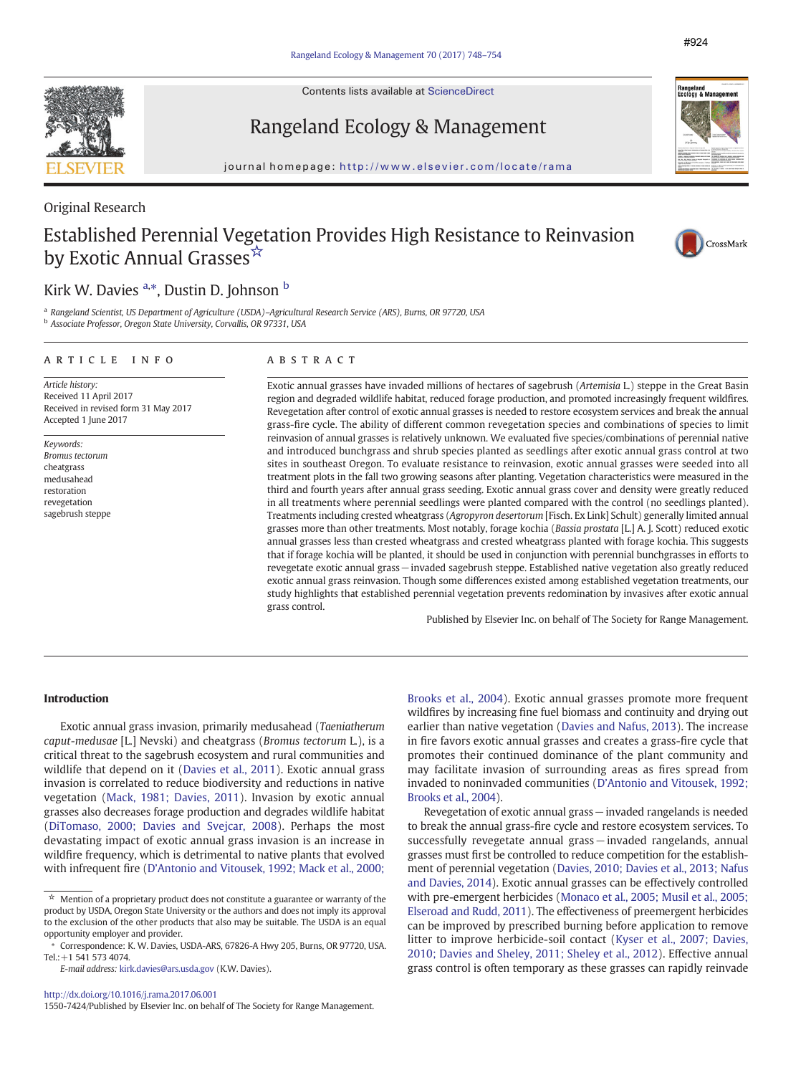Contents lists available at ScienceDirect



#924

# Rangeland Ecology & Management

journal homepage: http://www.elsevier.com/locate/rama

### Original Research

# Established Perennial Vegetation Provides High Resistance to Reinvasion by Exotic Annual Grasses<sup>☆</sup>



## Kirk W. Davies <sup>a,\*</sup>, Dustin D. Johnson <sup>b</sup>

<sup>a</sup> Rangeland Scientist, US Department of Agriculture (USDA)–Agricultural Research Service (ARS), Burns, OR 97720, USA <sup>b</sup> Associate Professor, Oregon State University, Corvallis, OR 97331, USA

#### article info abstract

Article history: Received 11 April 2017 Received in revised form 31 May 2017 Accepted 1 June 2017

Keywords: Bromus tectorum cheatgrass medusahead restoration revegetation sagebrush steppe

Exotic annual grasses have invaded millions of hectares of sagebrush (Artemisia L.) steppe in the Great Basin region and degraded wildlife habitat, reduced forage production, and promoted increasingly frequent wildfires. Revegetation after control of exotic annual grasses is needed to restore ecosystem services and break the annual grass-fire cycle. The ability of different common revegetation species and combinations of species to limit reinvasion of annual grasses is relatively unknown. We evaluated five species/combinations of perennial native and introduced bunchgrass and shrub species planted as seedlings after exotic annual grass control at two sites in southeast Oregon. To evaluate resistance to reinvasion, exotic annual grasses were seeded into all treatment plots in the fall two growing seasons after planting. Vegetation characteristics were measured in the third and fourth years after annual grass seeding. Exotic annual grass cover and density were greatly reduced in all treatments where perennial seedlings were planted compared with the control (no seedlings planted). Treatments including crested wheatgrass (Agropyron desertorum [Fisch. Ex Link] Schult) generally limited annual grasses more than other treatments. Most notably, forage kochia (Bassia prostata [L.] A. J. Scott) reduced exotic annual grasses less than crested wheatgrass and crested wheatgrass planted with forage kochia. This suggests that if forage kochia will be planted, it should be used in conjunction with perennial bunchgrasses in efforts to revegetate exotic annual grass−invaded sagebrush steppe. Established native vegetation also greatly reduced exotic annual grass reinvasion. Though some differences existed among established vegetation treatments, our study highlights that established perennial vegetation prevents redomination by invasives after exotic annual grass control.

Published by Elsevier Inc. on behalf of The Society for Range Management.

### Introduction

Exotic annual grass invasion, primarily medusahead (Taeniatherum caput-medusae [L.] Nevski) and cheatgrass (Bromus tectorum L.), is a critical threat to the sagebrush ecosystem and rural communities and wildlife that depend on it ([Davies et al., 2011](#page-5-0)). Exotic annual grass invasion is correlated to reduce biodiversity and reductions in native vegetation ([Mack, 1981; Davies, 2011\)](#page-5-0). Invasion by exotic annual grasses also decreases forage production and degrades wildlife habitat ([DiTomaso, 2000; Davies and Svejcar, 2008](#page-5-0)). Perhaps the most devastating impact of exotic annual grass invasion is an increase in wildfire frequency, which is detrimental to native plants that evolved with infrequent fire (D'[Antonio and Vitousek, 1992; Mack et al., 2000;](#page-5-0)

<http://dx.doi.org/10.1016/j.rama.2017.06.001>

1550-7424/Published by Elsevier Inc. on behalf of The Society for Range Management.

[Brooks et al., 2004\)](#page-5-0). Exotic annual grasses promote more frequent wildfires by increasing fine fuel biomass and continuity and drying out earlier than native vegetation ([Davies and Nafus, 2013\)](#page-5-0). The increase in fire favors exotic annual grasses and creates a grass-fire cycle that promotes their continued dominance of the plant community and may facilitate invasion of surrounding areas as fires spread from invaded to noninvaded communities (D'[Antonio and Vitousek, 1992;](#page-5-0) [Brooks et al., 2004](#page-5-0)).

Revegetation of exotic annual grass−invaded rangelands is needed to break the annual grass-fire cycle and restore ecosystem services. To successfully revegetate annual grass – invaded rangelands, annual grasses must first be controlled to reduce competition for the establishment of perennial vegetation ([Davies, 2010; Davies et al., 2013; Nafus](#page-5-0) [and Davies, 2014](#page-5-0)). Exotic annual grasses can be effectively controlled with pre-emergent herbicides [\(Monaco et al., 2005; Musil et al., 2005;](#page-6-0) [Elseroad and Rudd, 2011](#page-6-0)). The effectiveness of preemergent herbicides can be improved by prescribed burning before application to remove litter to improve herbicide-soil contact ([Kyser et al., 2007; Davies,](#page-5-0) [2010; Davies and Sheley, 2011; Sheley et al., 2012\)](#page-5-0). Effective annual grass control is often temporary as these grasses can rapidly reinvade



 $\star$  Mention of a proprietary product does not constitute a guarantee or warranty of the product by USDA, Oregon State University or the authors and does not imply its approval to the exclusion of the other products that also may be suitable. The USDA is an equal opportunity employer and provider.

Correspondence: K. W. Davies, USDA-ARS, 67826-A Hwy 205, Burns, OR 97720, USA. Tel.:+1 541 573 4074.

E-mail address: [kirk.davies@ars.usda.gov](mailto:kirk.davies@ars.usda.gov) (K.W. Davies).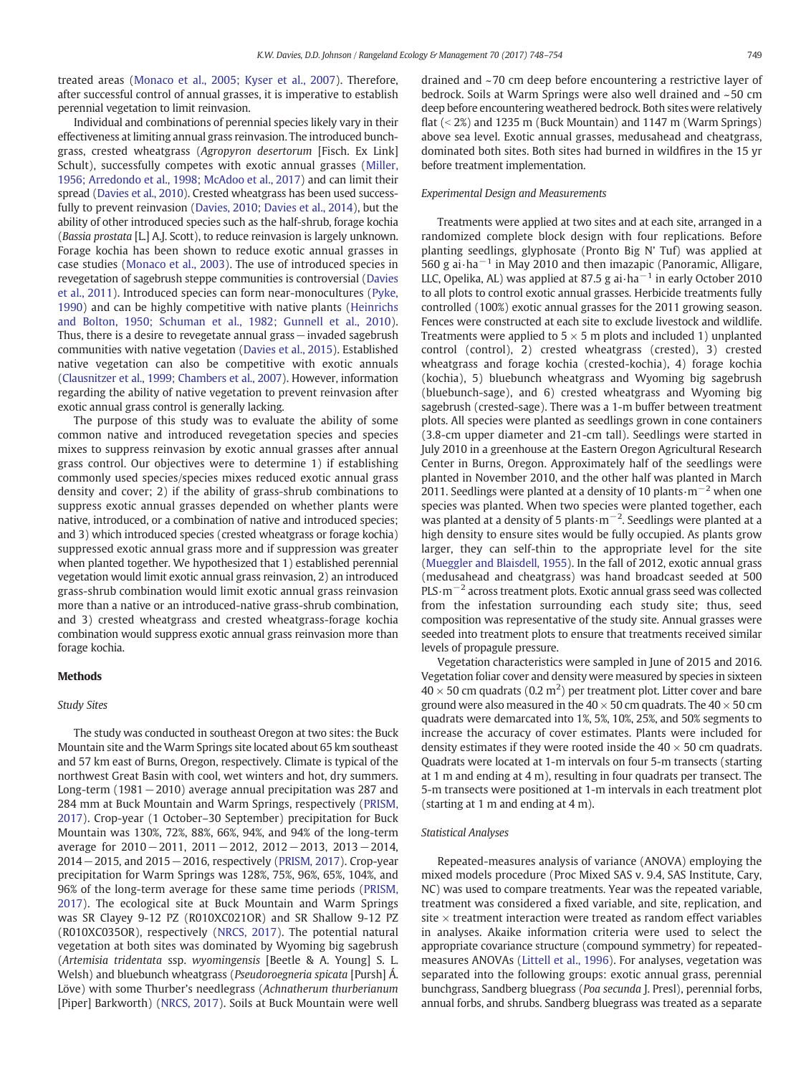treated areas ([Monaco et al., 2005; Kyser et al., 2007](#page-6-0)). Therefore, after successful control of annual grasses, it is imperative to establish perennial vegetation to limit reinvasion.

Individual and combinations of perennial species likely vary in their effectiveness at limiting annual grass reinvasion. The introduced bunchgrass, crested wheatgrass (Agropyron desertorum [Fisch. Ex Link] Schult), successfully competes with exotic annual grasses ([Miller,](#page-6-0) [1956; Arredondo et al., 1998; McAdoo et al., 2017](#page-6-0)) and can limit their spread ([Davies et al., 2010\)](#page-5-0). Crested wheatgrass has been used successfully to prevent reinvasion ([Davies, 2010; Davies et al., 2014](#page-5-0)), but the ability of other introduced species such as the half-shrub, forage kochia (Bassia prostata [L.] A.J. Scott), to reduce reinvasion is largely unknown. Forage kochia has been shown to reduce exotic annual grasses in case studies ([Monaco et al., 2003\)](#page-6-0). The use of introduced species in revegetation of sagebrush steppe communities is controversial [\(Davies](#page-5-0) [et al., 2011](#page-5-0)). Introduced species can form near-monocultures [\(Pyke,](#page-6-0) [1990\)](#page-6-0) and can be highly competitive with native plants [\(Heinrichs](#page-5-0) [and Bolton, 1950; Schuman et al., 1982; Gunnell et al., 2010](#page-5-0)). Thus, there is a desire to revegetate annual grass−invaded sagebrush communities with native vegetation [\(Davies et al., 2015](#page-5-0)). Established native vegetation can also be competitive with exotic annuals [\(Clausnitzer et al., 1999; Chambers et al., 2007\)](#page-5-0). However, information regarding the ability of native vegetation to prevent reinvasion after exotic annual grass control is generally lacking.

The purpose of this study was to evaluate the ability of some common native and introduced revegetation species and species mixes to suppress reinvasion by exotic annual grasses after annual grass control. Our objectives were to determine 1) if establishing commonly used species/species mixes reduced exotic annual grass density and cover; 2) if the ability of grass-shrub combinations to suppress exotic annual grasses depended on whether plants were native, introduced, or a combination of native and introduced species; and 3) which introduced species (crested wheatgrass or forage kochia) suppressed exotic annual grass more and if suppression was greater when planted together. We hypothesized that 1) established perennial vegetation would limit exotic annual grass reinvasion, 2) an introduced grass-shrub combination would limit exotic annual grass reinvasion more than a native or an introduced-native grass-shrub combination, and 3) crested wheatgrass and crested wheatgrass-forage kochia combination would suppress exotic annual grass reinvasion more than forage kochia.

#### Methods

#### Study Sites

The study was conducted in southeast Oregon at two sites: the Buck Mountain site and the Warm Springs site located about 65 km southeast and 57 km east of Burns, Oregon, respectively. Climate is typical of the northwest Great Basin with cool, wet winters and hot, dry summers. Long-term (1981−2010) average annual precipitation was 287 and 284 mm at Buck Mountain and Warm Springs, respectively [\(PRISM,](#page-6-0) [2017\)](#page-6-0). Crop-year (1 October–30 September) precipitation for Buck Mountain was 130%, 72%, 88%, 66%, 94%, and 94% of the long-term average for 2010−2011, 2011−2012, 2012−2013, 2013−2014, 2014−2015, and 2015−2016, respectively [\(PRISM, 2017](#page-6-0)). Crop-year precipitation for Warm Springs was 128%, 75%, 96%, 65%, 104%, and 96% of the long-term average for these same time periods [\(PRISM,](#page-6-0) [2017\)](#page-6-0). The ecological site at Buck Mountain and Warm Springs was SR Clayey 9-12 PZ (R010XC021OR) and SR Shallow 9-12 PZ (R010XC035OR), respectively [\(NRCS, 2017](#page-6-0)). The potential natural vegetation at both sites was dominated by Wyoming big sagebrush (Artemisia tridentata ssp. wyomingensis [Beetle & A. Young] S. L. Welsh) and bluebunch wheatgrass (Pseudoroegneria spicata [Pursh] Á. Löve) with some Thurber's needlegrass (Achnatherum thurberianum [Piper] Barkworth) ([NRCS, 2017](#page-6-0)). Soils at Buck Mountain were well

drained and ~70 cm deep before encountering a restrictive layer of bedrock. Soils at Warm Springs were also well drained and ~50 cm deep before encountering weathered bedrock. Both sites were relatively flat  $(< 2\%)$  and 1235 m (Buck Mountain) and 1147 m (Warm Springs) above sea level. Exotic annual grasses, medusahead and cheatgrass, dominated both sites. Both sites had burned in wildfires in the 15 yr before treatment implementation.

#### Experimental Design and Measurements

Treatments were applied at two sites and at each site, arranged in a randomized complete block design with four replications. Before planting seedlings, glyphosate (Pronto Big N' Tuf) was applied at 560 g ai⋅ha<sup>-1</sup> in May 2010 and then imazapic (Panoramic, Alligare, LLC, Opelika, AL) was applied at 87.5 g ai∙ha−<sup>1</sup> in early October 2010 to all plots to control exotic annual grasses. Herbicide treatments fully controlled (100%) exotic annual grasses for the 2011 growing season. Fences were constructed at each site to exclude livestock and wildlife. Treatments were applied to  $5 \times 5$  m plots and included 1) unplanted control (control), 2) crested wheatgrass (crested), 3) crested wheatgrass and forage kochia (crested-kochia), 4) forage kochia (kochia), 5) bluebunch wheatgrass and Wyoming big sagebrush (bluebunch-sage), and 6) crested wheatgrass and Wyoming big sagebrush (crested-sage). There was a 1-m buffer between treatment plots. All species were planted as seedlings grown in cone containers (3.8-cm upper diameter and 21-cm tall). Seedlings were started in July 2010 in a greenhouse at the Eastern Oregon Agricultural Research Center in Burns, Oregon. Approximately half of the seedlings were planted in November 2010, and the other half was planted in March 2011. Seedlings were planted at a density of 10 plants⋅m<sup>-2</sup> when one species was planted. When two species were planted together, each was planted at a density of 5 plants∙m<sup>-2</sup>. Seedlings were planted at a high density to ensure sites would be fully occupied. As plants grow larger, they can self-thin to the appropriate level for the site [\(Mueggler and Blaisdell, 1955\)](#page-6-0). In the fall of 2012, exotic annual grass (medusahead and cheatgrass) was hand broadcast seeded at 500 PLS⋅m<sup>-2</sup> across treatment plots. Exotic annual grass seed was collected from the infestation surrounding each study site; thus, seed composition was representative of the study site. Annual grasses were seeded into treatment plots to ensure that treatments received similar levels of propagule pressure.

Vegetation characteristics were sampled in June of 2015 and 2016. Vegetation foliar cover and density were measured by species in sixteen  $40\times50$  cm quadrats (0.2 m<sup>2</sup>) per treatment plot. Litter cover and bare ground were also measured in the 40  $\times$  50 cm quadrats. The 40  $\times$  50 cm quadrats were demarcated into 1%, 5%, 10%, 25%, and 50% segments to increase the accuracy of cover estimates. Plants were included for density estimates if they were rooted inside the  $40 \times 50$  cm quadrats. Quadrats were located at 1-m intervals on four 5-m transects (starting at 1 m and ending at 4 m), resulting in four quadrats per transect. The 5-m transects were positioned at 1-m intervals in each treatment plot (starting at 1 m and ending at 4 m).

#### Statistical Analyses

Repeated-measures analysis of variance (ANOVA) employing the mixed models procedure (Proc Mixed SAS v. 9.4, SAS Institute, Cary, NC) was used to compare treatments. Year was the repeated variable, treatment was considered a fixed variable, and site, replication, and site  $\times$  treatment interaction were treated as random effect variables in analyses. Akaike information criteria were used to select the appropriate covariance structure (compound symmetry) for repeatedmeasures ANOVAs ([Littell et al., 1996\)](#page-5-0). For analyses, vegetation was separated into the following groups: exotic annual grass, perennial bunchgrass, Sandberg bluegrass (Poa secunda J. Presl), perennial forbs, annual forbs, and shrubs. Sandberg bluegrass was treated as a separate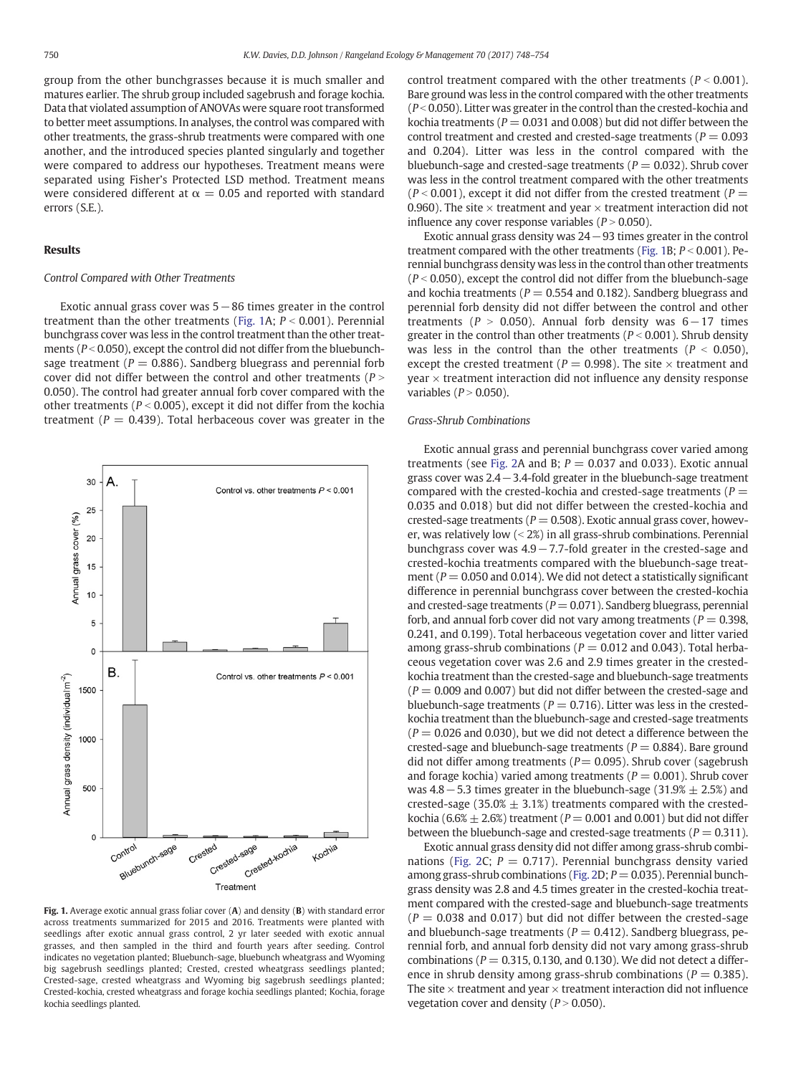group from the other bunchgrasses because it is much smaller and matures earlier. The shrub group included sagebrush and forage kochia. Data that violated assumption of ANOVAs were square root transformed to better meet assumptions. In analyses, the control was compared with other treatments, the grass-shrub treatments were compared with one another, and the introduced species planted singularly and together were compared to address our hypotheses. Treatment means were separated using Fisher's Protected LSD method. Treatment means were considered different at  $\alpha = 0.05$  and reported with standard errors (S.E.).

#### Results

#### Control Compared with Other Treatments

Exotic annual grass cover was 5−86 times greater in the control treatment than the other treatments (Fig. 1A;  $P < 0.001$ ). Perennial bunchgrass cover was less in the control treatment than the other treatments ( $P < 0.050$ ), except the control did not differ from the bluebunchsage treatment ( $P = 0.886$ ). Sandberg bluegrass and perennial forb cover did not differ between the control and other treatments ( $P >$ 0.050). The control had greater annual forb cover compared with the other treatments ( $P < 0.005$ ), except it did not differ from the kochia treatment ( $P = 0.439$ ). Total herbaceous cover was greater in the



Fig. 1. Average exotic annual grass foliar cover (A) and density (B) with standard error across treatments summarized for 2015 and 2016. Treatments were planted with seedlings after exotic annual grass control, 2 yr later seeded with exotic annual grasses, and then sampled in the third and fourth years after seeding. Control indicates no vegetation planted; Bluebunch-sage, bluebunch wheatgrass and Wyoming big sagebrush seedlings planted; Crested, crested wheatgrass seedlings planted; Crested-sage, crested wheatgrass and Wyoming big sagebrush seedlings planted; Crested-kochia, crested wheatgrass and forage kochia seedlings planted; Kochia, forage kochia seedlings planted.

control treatment compared with the other treatments ( $P < 0.001$ ). Bare ground was less in the control compared with the other treatments ( $P < 0.050$ ). Litter was greater in the control than the crested-kochia and kochia treatments ( $P = 0.031$  and 0.008) but did not differ between the control treatment and crested and crested-sage treatments ( $P = 0.093$ ) and 0.204). Litter was less in the control compared with the bluebunch-sage and crested-sage treatments ( $P = 0.032$ ). Shrub cover was less in the control treatment compared with the other treatments  $(P < 0.001)$ , except it did not differ from the crested treatment (P = 0.960). The site  $\times$  treatment and year  $\times$  treatment interaction did not influence any cover response variables ( $P > 0.050$ ).

Exotic annual grass density was 24−93 times greater in the control treatment compared with the other treatments (Fig. 1B;  $P < 0.001$ ). Perennial bunchgrass density was less in the control than other treatments  $(P < 0.050)$ , except the control did not differ from the bluebunch-sage and kochia treatments ( $P = 0.554$  and 0.182). Sandberg bluegrass and perennial forb density did not differ between the control and other treatments ( $P > 0.050$ ). Annual forb density was 6−17 times greater in the control than other treatments ( $P < 0.001$ ). Shrub density was less in the control than the other treatments ( $P < 0.050$ ), except the crested treatment ( $P = 0.998$ ). The site  $\times$  treatment and  $year \times treatment$  interaction did not influence any density response variables ( $P > 0.050$ ).

#### Grass-Shrub Combinations

Exotic annual grass and perennial bunchgrass cover varied among treatments (see [Fig. 2A](#page-3-0) and B;  $P = 0.037$  and 0.033). Exotic annual grass cover was 2.4−3.4-fold greater in the bluebunch-sage treatment compared with the crested-kochia and crested-sage treatments ( $P =$ 0.035 and 0.018) but did not differ between the crested-kochia and crested-sage treatments ( $P = 0.508$ ). Exotic annual grass cover, however, was relatively low  $\left( < 2\% \right)$  in all grass-shrub combinations. Perennial bunchgrass cover was 4.9−7.7-fold greater in the crested-sage and crested-kochia treatments compared with the bluebunch-sage treatment ( $P = 0.050$  and 0.014). We did not detect a statistically significant difference in perennial bunchgrass cover between the crested-kochia and crested-sage treatments ( $P = 0.071$ ). Sandberg bluegrass, perennial forb, and annual forb cover did not vary among treatments ( $P = 0.398$ , 0.241, and 0.199). Total herbaceous vegetation cover and litter varied among grass-shrub combinations ( $P = 0.012$  and 0.043). Total herbaceous vegetation cover was 2.6 and 2.9 times greater in the crestedkochia treatment than the crested-sage and bluebunch-sage treatments  $(P = 0.009$  and 0.007) but did not differ between the crested-sage and bluebunch-sage treatments ( $P = 0.716$ ). Litter was less in the crestedkochia treatment than the bluebunch-sage and crested-sage treatments  $(P = 0.026$  and 0.030), but we did not detect a difference between the crested-sage and bluebunch-sage treatments ( $P = 0.884$ ). Bare ground did not differ among treatments ( $P= 0.095$ ). Shrub cover (sagebrush and forage kochia) varied among treatments ( $P = 0.001$ ). Shrub cover was 4.8 − 5.3 times greater in the bluebunch-sage (31.9%  $\pm$  2.5%) and crested-sage (35.0%  $\pm$  3.1%) treatments compared with the crestedkochia (6.6%  $\pm$  2.6%) treatment (P = 0.001 and 0.001) but did not differ between the bluebunch-sage and crested-sage treatments ( $P = 0.311$ ).

Exotic annual grass density did not differ among grass-shrub combi-nations ([Fig. 2](#page-3-0)C;  $P = 0.717$ ). Perennial bunchgrass density varied among grass-shrub combinations [\(Fig. 2](#page-3-0)D;  $P = 0.035$ ). Perennial bunchgrass density was 2.8 and 4.5 times greater in the crested-kochia treatment compared with the crested-sage and bluebunch-sage treatments  $(P = 0.038$  and 0.017) but did not differ between the crested-sage and bluebunch-sage treatments ( $P = 0.412$ ). Sandberg bluegrass, perennial forb, and annual forb density did not vary among grass-shrub combinations ( $P = 0.315, 0.130$ , and 0.130). We did not detect a difference in shrub density among grass-shrub combinations ( $P = 0.385$ ). The site  $\times$  treatment and year  $\times$  treatment interaction did not influence vegetation cover and density  $(P > 0.050)$ .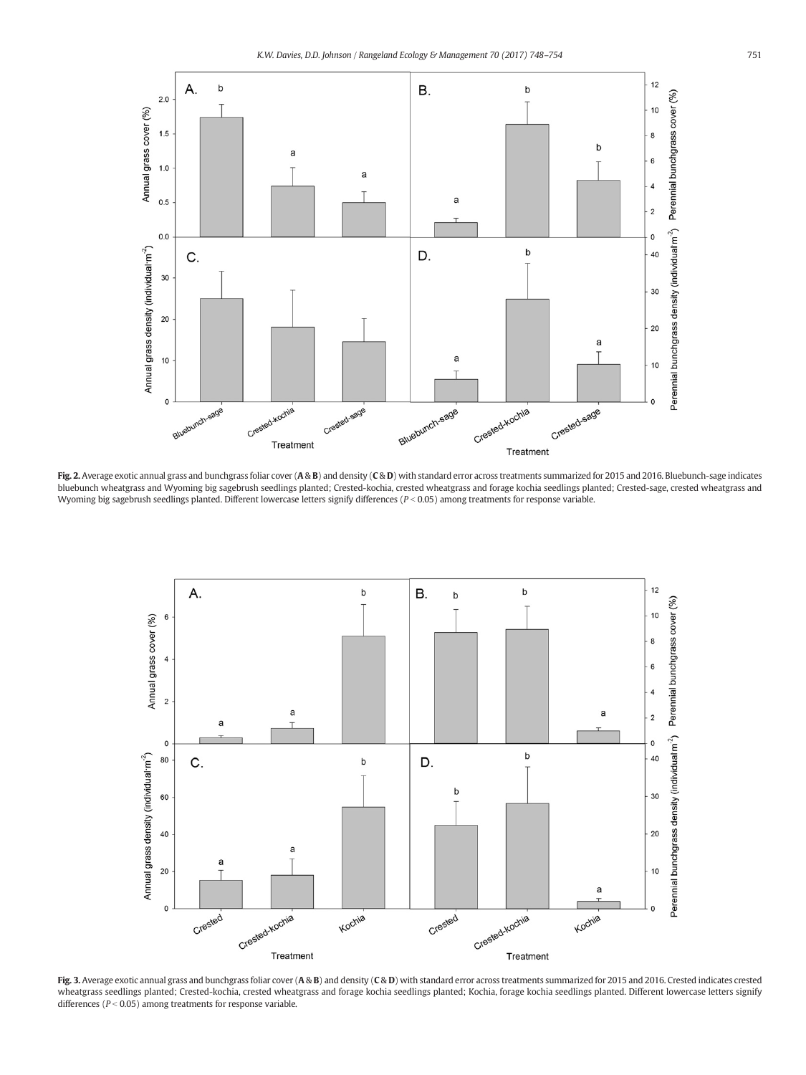<span id="page-3-0"></span>

Fig. 2. Average exotic annual grass and bunchgrass foliar cover (A & B) and density (C & D) with standard error across treatments summarized for 2015 and 2016. Bluebunch-sage indicates bluebunch wheatgrass and Wyoming big sagebrush seedlings planted; Crested-kochia, crested wheatgrass and forage kochia seedlings planted; Crested-sage, crested wheatgrass and Wyoming big sagebrush seedlings planted. Different lowercase letters signify differences ( $P < 0.05$ ) among treatments for response variable.



Fig. 3. Average exotic annual grass and bunchgrass foliar cover  $(A \otimes B)$  and density  $(C \otimes D)$  with standard error across treatments summarized for 2015 and 2016. Crested indicates crested wheatgrass seedlings planted; Crested-kochia, crested wheatgrass and forage kochia seedlings planted; Kochia, forage kochia seedlings planted. Different lowercase letters signify differences ( $P < 0.05$ ) among treatments for response variable.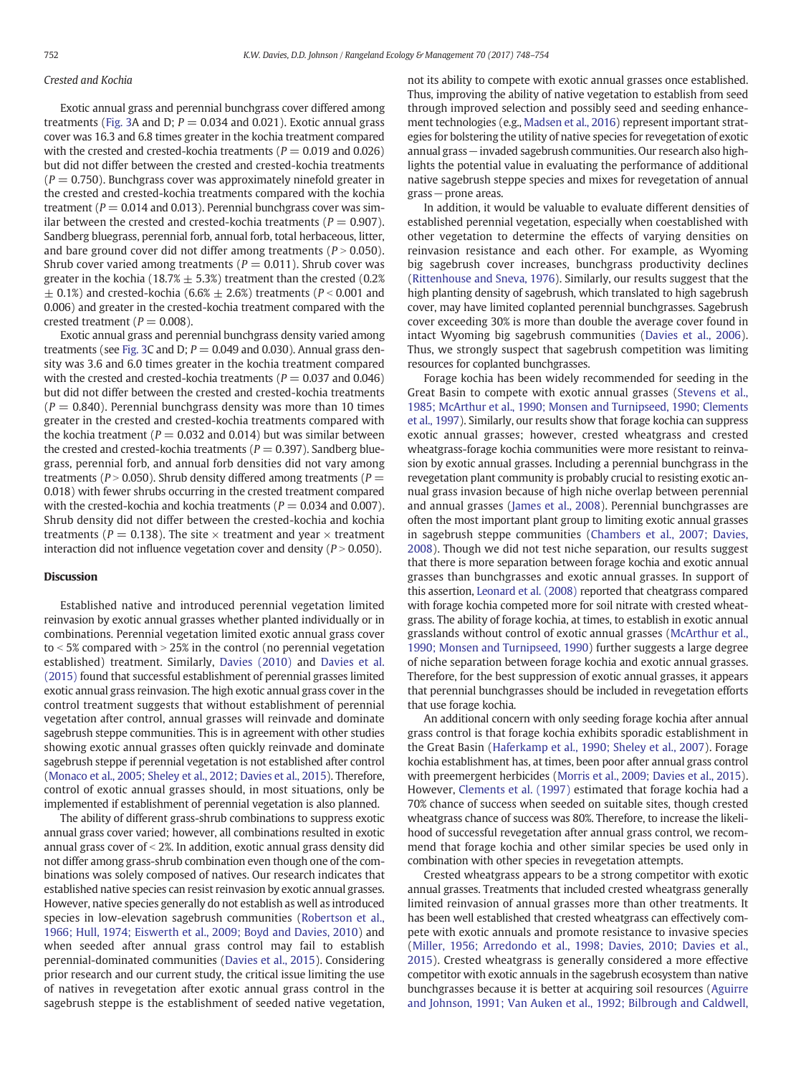#### Crested and Kochia

Exotic annual grass and perennial bunchgrass cover differed among treatments [\(Fig. 3](#page-3-0)A and D;  $P = 0.034$  and 0.021). Exotic annual grass cover was 16.3 and 6.8 times greater in the kochia treatment compared with the crested and crested-kochia treatments ( $P = 0.019$  and 0.026) but did not differ between the crested and crested-kochia treatments  $(P = 0.750)$ . Bunchgrass cover was approximately ninefold greater in the crested and crested-kochia treatments compared with the kochia treatment ( $P = 0.014$  and 0.013). Perennial bunchgrass cover was similar between the crested and crested-kochia treatments ( $P = 0.907$ ). Sandberg bluegrass, perennial forb, annual forb, total herbaceous, litter, and bare ground cover did not differ among treatments ( $P > 0.050$ ). Shrub cover varied among treatments ( $P = 0.011$ ). Shrub cover was greater in the kochia (18.7%  $\pm$  5.3%) treatment than the crested (0.2%)  $\pm$  0.1%) and crested-kochia (6.6%  $\pm$  2.6%) treatments (P < 0.001 and 0.006) and greater in the crested-kochia treatment compared with the crested treatment ( $P = 0.008$ ).

Exotic annual grass and perennial bunchgrass density varied among treatments (see [Fig. 3C](#page-3-0) and D;  $P = 0.049$  and 0.030). Annual grass density was 3.6 and 6.0 times greater in the kochia treatment compared with the crested and crested-kochia treatments ( $P = 0.037$  and 0.046) but did not differ between the crested and crested-kochia treatments  $(P = 0.840)$ . Perennial bunchgrass density was more than 10 times greater in the crested and crested-kochia treatments compared with the kochia treatment ( $P = 0.032$  and 0.014) but was similar between the crested and crested-kochia treatments ( $P = 0.397$ ). Sandberg bluegrass, perennial forb, and annual forb densities did not vary among treatments ( $P > 0.050$ ). Shrub density differed among treatments ( $P =$ 0.018) with fewer shrubs occurring in the crested treatment compared with the crested-kochia and kochia treatments ( $P = 0.034$  and 0.007). Shrub density did not differ between the crested-kochia and kochia treatments ( $P = 0.138$ ). The site  $\times$  treatment and year  $\times$  treatment interaction did not influence vegetation cover and density ( $P > 0.050$ ).

#### **Discussion**

Established native and introduced perennial vegetation limited reinvasion by exotic annual grasses whether planted individually or in combinations. Perennial vegetation limited exotic annual grass cover to  $\le$  5% compared with  $>$  25% in the control (no perennial vegetation established) treatment. Similarly, [Davies \(2010\)](#page-5-0) and [Davies et al.](#page-5-0) [\(2015\)](#page-5-0) found that successful establishment of perennial grasses limited exotic annual grass reinvasion. The high exotic annual grass cover in the control treatment suggests that without establishment of perennial vegetation after control, annual grasses will reinvade and dominate sagebrush steppe communities. This is in agreement with other studies showing exotic annual grasses often quickly reinvade and dominate sagebrush steppe if perennial vegetation is not established after control ([Monaco et al., 2005; Sheley et al., 2012; Davies et al., 2015](#page-6-0)). Therefore, control of exotic annual grasses should, in most situations, only be implemented if establishment of perennial vegetation is also planned.

The ability of different grass-shrub combinations to suppress exotic annual grass cover varied; however, all combinations resulted in exotic annual grass cover of  $<$  2%. In addition, exotic annual grass density did not differ among grass-shrub combination even though one of the combinations was solely composed of natives. Our research indicates that established native species can resist reinvasion by exotic annual grasses. However, native species generally do not establish as well as introduced species in low-elevation sagebrush communities [\(Robertson et al.,](#page-6-0) [1966; Hull, 1974; Eiswerth et al., 2009; Boyd and Davies, 2010\)](#page-6-0) and when seeded after annual grass control may fail to establish perennial-dominated communities ([Davies et al., 2015](#page-5-0)). Considering prior research and our current study, the critical issue limiting the use of natives in revegetation after exotic annual grass control in the sagebrush steppe is the establishment of seeded native vegetation, not its ability to compete with exotic annual grasses once established. Thus, improving the ability of native vegetation to establish from seed through improved selection and possibly seed and seeding enhancement technologies (e.g., [Madsen et al., 2016\)](#page-5-0) represent important strategies for bolstering the utility of native species for revegetation of exotic annual grass−invaded sagebrush communities. Our research also highlights the potential value in evaluating the performance of additional native sagebrush steppe species and mixes for revegetation of annual grass−prone areas.

In addition, it would be valuable to evaluate different densities of established perennial vegetation, especially when coestablished with other vegetation to determine the effects of varying densities on reinvasion resistance and each other. For example, as Wyoming big sagebrush cover increases, bunchgrass productivity declines ([Rittenhouse and Sneva, 1976\)](#page-6-0). Similarly, our results suggest that the high planting density of sagebrush, which translated to high sagebrush cover, may have limited coplanted perennial bunchgrasses. Sagebrush cover exceeding 30% is more than double the average cover found in intact Wyoming big sagebrush communities [\(Davies et al., 2006](#page-5-0)). Thus, we strongly suspect that sagebrush competition was limiting resources for coplanted bunchgrasses.

Forage kochia has been widely recommended for seeding in the Great Basin to compete with exotic annual grasses [\(Stevens et al.,](#page-6-0) [1985; McArthur et al., 1990; Monsen and Turnipseed, 1990; Clements](#page-6-0) [et al., 1997](#page-6-0)). Similarly, our results show that forage kochia can suppress exotic annual grasses; however, crested wheatgrass and crested wheatgrass-forage kochia communities were more resistant to reinvasion by exotic annual grasses. Including a perennial bunchgrass in the revegetation plant community is probably crucial to resisting exotic annual grass invasion because of high niche overlap between perennial and annual grasses [\(James et al., 2008](#page-5-0)). Perennial bunchgrasses are often the most important plant group to limiting exotic annual grasses in sagebrush steppe communities ([Chambers et al., 2007; Davies,](#page-5-0) [2008\)](#page-5-0). Though we did not test niche separation, our results suggest that there is more separation between forage kochia and exotic annual grasses than bunchgrasses and exotic annual grasses. In support of this assertion, [Leonard et al. \(2008\)](#page-5-0) reported that cheatgrass compared with forage kochia competed more for soil nitrate with crested wheatgrass. The ability of forage kochia, at times, to establish in exotic annual grasslands without control of exotic annual grasses [\(McArthur et al.,](#page-6-0) [1990; Monsen and Turnipseed, 1990\)](#page-6-0) further suggests a large degree of niche separation between forage kochia and exotic annual grasses. Therefore, for the best suppression of exotic annual grasses, it appears that perennial bunchgrasses should be included in revegetation efforts that use forage kochia.

An additional concern with only seeding forage kochia after annual grass control is that forage kochia exhibits sporadic establishment in the Great Basin ([Haferkamp et al., 1990; Sheley et al., 2007](#page-5-0)). Forage kochia establishment has, at times, been poor after annual grass control with preemergent herbicides ([Morris et al., 2009; Davies et al., 2015](#page-6-0)). However, [Clements et al. \(1997\)](#page-5-0) estimated that forage kochia had a 70% chance of success when seeded on suitable sites, though crested wheatgrass chance of success was 80%. Therefore, to increase the likelihood of successful revegetation after annual grass control, we recommend that forage kochia and other similar species be used only in combination with other species in revegetation attempts.

Crested wheatgrass appears to be a strong competitor with exotic annual grasses. Treatments that included crested wheatgrass generally limited reinvasion of annual grasses more than other treatments. It has been well established that crested wheatgrass can effectively compete with exotic annuals and promote resistance to invasive species ([Miller, 1956; Arredondo et al., 1998; Davies, 2010; Davies et al.,](#page-6-0) [2015\)](#page-6-0). Crested wheatgrass is generally considered a more effective competitor with exotic annuals in the sagebrush ecosystem than native bunchgrasses because it is better at acquiring soil resources [\(Aguirre](#page-5-0) [and Johnson, 1991; Van Auken et al., 1992; Bilbrough and Caldwell,](#page-5-0)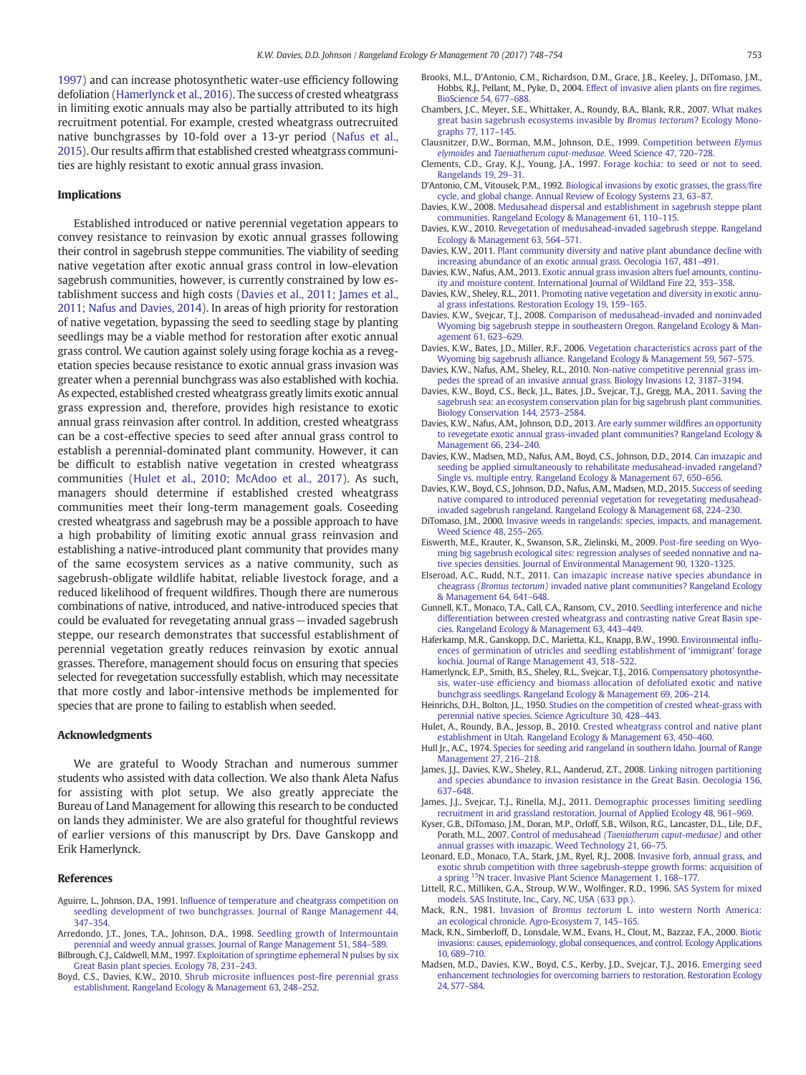<span id="page-5-0"></span>1997) and can increase photosynthetic water-use efficiency following defoliation (Hamerlynck et al., 2016). The success of crested wheatgrass in limiting exotic annuals may also be partially attributed to its high recruitment potential. For example, crested wheatgrass outrecruited native bunchgrasses by 10-fold over a 13-yr period ([Nafus et al.,](#page-6-0) [2015](#page-6-0)). Our results affirm that established crested wheatgrass communities are highly resistant to exotic annual grass invasion.

#### Implications

Established introduced or native perennial vegetation appears to convey resistance to reinvasion by exotic annual grasses following their control in sagebrush steppe communities. The viability of seeding native vegetation after exotic annual grass control in low-elevation sagebrush communities, however, is currently constrained by low establishment success and high costs (Davies et al., 2011; James et al., 2011; Nafus and Davies, 2014). In areas of high priority for restoration of native vegetation, bypassing the seed to seedling stage by planting seedlings may be a viable method for restoration after exotic annual grass control. We caution against solely using forage kochia as a revegetation species because resistance to exotic annual grass invasion was greater when a perennial bunchgrass was also established with kochia. As expected, established crested wheatgrass greatly limits exotic annual grass expression and, therefore, provides high resistance to exotic annual grass reinvasion after control. In addition, crested wheatgrass can be a cost-effective species to seed after annual grass control to establish a perennial-dominated plant community. However, it can be difficult to establish native vegetation in crested wheatgrass communities (Hulet et al., 2010; McAdoo et al., 2017). As such, managers should determine if established crested wheatgrass communities meet their long-term management goals. Coseeding crested wheatgrass and sagebrush may be a possible approach to have a high probability of limiting exotic annual grass reinvasion and establishing a native-introduced plant community that provides many of the same ecosystem services as a native community, such as sagebrush-obligate wildlife habitat, reliable livestock forage, and a reduced likelihood of frequent wildfires. Though there are numerous combinations of native, introduced, and native-introduced species that could be evaluated for revegetating annual grass−invaded sagebrush steppe, our research demonstrates that successful establishment of perennial vegetation greatly reduces reinvasion by exotic annual grasses. Therefore, management should focus on ensuring that species selected for revegetation successfully establish, which may necessitate that more costly and labor-intensive methods be implemented for species that are prone to failing to establish when seeded.

#### Acknowledgments

We are grateful to Woody Strachan and numerous summer students who assisted with data collection. We also thank Aleta Nafus for assisting with plot setup. We also greatly appreciate the Bureau of Land Management for allowing this research to be conducted on lands they administer. We are also grateful for thoughtful reviews of earlier versions of this manuscript by Drs. Dave Ganskopp and Erik Hamerlynck.

#### References

- Aguirre, L., Johnson, D.A., 1991. Infl[uence of temperature and cheatgrass competition on](http://refhub.elsevier.com/S1550-7424(17)30057-X/rf0005) [seedling development of two bunchgrasses. Journal of Range Management 44,](http://refhub.elsevier.com/S1550-7424(17)30057-X/rf0005) [347](http://refhub.elsevier.com/S1550-7424(17)30057-X/rf0005)–354.
- Arredondo, J.T., Jones, T.A., Johnson, D.A., 1998. [Seedling growth of Intermountain](http://refhub.elsevier.com/S1550-7424(17)30057-X/rf0010) [perennial and weedy annual grasses. Journal of Range Management 51, 584](http://refhub.elsevier.com/S1550-7424(17)30057-X/rf0010)–589.
- Bilbrough, C.J., Caldwell, M.M., 1997. [Exploitation of springtime ephemeral N pulses by six](http://refhub.elsevier.com/S1550-7424(17)30057-X/rf0015) [Great Basin plant species. Ecology 78, 231](http://refhub.elsevier.com/S1550-7424(17)30057-X/rf0015)–243.
- Boyd, C.S., Davies, K.W., 2010. [Shrub microsite in](http://refhub.elsevier.com/S1550-7424(17)30057-X/rf0020)fluences post-fire perennial grass [establishment. Rangeland Ecology & Management 63, 248](http://refhub.elsevier.com/S1550-7424(17)30057-X/rf0020)–252.
- Brooks, M.L., D'Antonio, C.M., Richardson, D.M., Grace, J.B., Keeley, J., DiTomaso, J.M., Hobbs, R.J., Pellant, M., Pyke, D., 2004. [Effect of invasive alien plants on](http://refhub.elsevier.com/S1550-7424(17)30057-X/rf0025) fire regimes. [BioScience 54, 677](http://refhub.elsevier.com/S1550-7424(17)30057-X/rf0025)–688.
- Chambers, J.C., Meyer, S.E., Whittaker, A., Roundy, B.A., Blank, R.R., 2007. [What makes](http://refhub.elsevier.com/S1550-7424(17)30057-X/rf0030) [great basin sagebrush ecosystems invasible by](http://refhub.elsevier.com/S1550-7424(17)30057-X/rf0030) Bromus tectorum? Ecology Mono[graphs 77, 117](http://refhub.elsevier.com/S1550-7424(17)30057-X/rf0030)–145.
- Clausnitzer, D.W., Borman, M.M., Johnson, D.E., 1999. [Competition between](http://refhub.elsevier.com/S1550-7424(17)30057-X/rf0035) Elymus elymoides and [Taeniatherum caput-medusae](http://refhub.elsevier.com/S1550-7424(17)30057-X/rf0035). Weed Science 47, 720–728.
- Clements, C.D., Gray, K.J., Young, J.A., 1997. [Forage kochia: to seed or not to seed.](http://refhub.elsevier.com/S1550-7424(17)30057-X/rf0040) [Rangelands 19, 29](http://refhub.elsevier.com/S1550-7424(17)30057-X/rf0040)–31.
- D'Antonio, C.M., Vitousek, P.M., 1992. [Biological invasions by exotic grasses, the grass/](http://refhub.elsevier.com/S1550-7424(17)30057-X/rf0045)fire [cycle, and global change. Annual Review of Ecology Systems 23, 63](http://refhub.elsevier.com/S1550-7424(17)30057-X/rf0045)–87.
- Davies, K.W., 2008. [Medusahead dispersal and establishment in sagebrush steppe plant](http://refhub.elsevier.com/S1550-7424(17)30057-X/rf0050) [communities. Rangeland Ecology & Management 61, 110](http://refhub.elsevier.com/S1550-7424(17)30057-X/rf0050)–115.
- Davies, K.W., 2010. [Revegetation of medusahead-invaded sagebrush steppe. Rangeland](http://refhub.elsevier.com/S1550-7424(17)30057-X/rf0055) [Ecology & Management 63, 564](http://refhub.elsevier.com/S1550-7424(17)30057-X/rf0055)–571.
- Davies, K.W., 2011. [Plant community diversity and native plant abundance decline with](http://refhub.elsevier.com/S1550-7424(17)30057-X/rf0060) [increasing abundance of an exotic annual grass. Oecologia 167, 481](http://refhub.elsevier.com/S1550-7424(17)30057-X/rf0060)–491.
- Davies, K.W., Nafus, A.M., 2013. [Exotic annual grass invasion alters fuel amounts, continu](http://refhub.elsevier.com/S1550-7424(17)30057-X/rf0065)[ity and moisture content. International Journal of Wildland Fire 22, 353](http://refhub.elsevier.com/S1550-7424(17)30057-X/rf0065)–358.
- Davies, K.W., Sheley, R.L., 2011. [Promoting native vegetation and diversity in exotic annu](http://refhub.elsevier.com/S1550-7424(17)30057-X/rf0070)[al grass infestations. Restoration Ecology 19, 159](http://refhub.elsevier.com/S1550-7424(17)30057-X/rf0070)–165.
- Davies, K.W., Svejcar, T.J., 2008. [Comparison of medusahead-invaded and noninvaded](http://refhub.elsevier.com/S1550-7424(17)30057-X/rf0075) [Wyoming big sagebrush steppe in southeastern Oregon. Rangeland Ecology & Man](http://refhub.elsevier.com/S1550-7424(17)30057-X/rf0075)[agement 61, 623](http://refhub.elsevier.com/S1550-7424(17)30057-X/rf0075)–629.
- Davies, K.W., Bates, J.D., Miller, R.F., 2006. [Vegetation characteristics across part of the](http://refhub.elsevier.com/S1550-7424(17)30057-X/rf0080) [Wyoming big sagebrush alliance. Rangeland Ecology & Management 59, 567](http://refhub.elsevier.com/S1550-7424(17)30057-X/rf0080)–575.
- Davies, K.W., Nafus, A.M., Sheley, R.L., 2010. [Non-native competitive perennial grass im](http://refhub.elsevier.com/S1550-7424(17)30057-X/rf0085)[pedes the spread of an invasive annual grass. Biology Invasions 12, 3187](http://refhub.elsevier.com/S1550-7424(17)30057-X/rf0085)–3194.
- Davies, K.W., Boyd, C.S., Beck, J.L., Bates, J.D., Svejcar, T.J., Gregg, M.A., 2011. [Saving the](http://refhub.elsevier.com/S1550-7424(17)30057-X/rf0090) [sagebrush sea: an ecosystem conservation plan for big sagebrush plant communities.](http://refhub.elsevier.com/S1550-7424(17)30057-X/rf0090) [Biology Conservation 144, 2573](http://refhub.elsevier.com/S1550-7424(17)30057-X/rf0090)–2584.
- Davies, K.W., Nafus, A.M., Johnson, D.D., 2013. [Are early summer wild](http://refhub.elsevier.com/S1550-7424(17)30057-X/rf0095)fires an opportunity [to revegetate exotic annual grass-invaded plant communities? Rangeland Ecology &](http://refhub.elsevier.com/S1550-7424(17)30057-X/rf0095) [Management 66, 234](http://refhub.elsevier.com/S1550-7424(17)30057-X/rf0095)–240.
- Davies, K.W., Madsen, M.D., Nafus, A.M., Boyd, C.S., Johnson, D.D., 2014. [Can imazapic and](http://refhub.elsevier.com/S1550-7424(17)30057-X/rf0100) [seeding be applied simultaneously to rehabilitate medusahead-invaded rangeland?](http://refhub.elsevier.com/S1550-7424(17)30057-X/rf0100) [Single vs. multiple entry. Rangeland Ecology & Management 67, 650](http://refhub.elsevier.com/S1550-7424(17)30057-X/rf0100)–656.
- Davies, K.W., Boyd, C.S., Johnson, D.D., Nafus, A.M., Madsen, M.D., 2015. [Success of seeding](http://refhub.elsevier.com/S1550-7424(17)30057-X/rf0105) [native compared to introduced perennial vegetation for revegetating medusahead](http://refhub.elsevier.com/S1550-7424(17)30057-X/rf0105)[invaded sagebrush rangeland. Rangeland Ecology & Management 68, 224](http://refhub.elsevier.com/S1550-7424(17)30057-X/rf0105)–230.
- DiTomaso, J.M., 2000. [Invasive weeds in rangelands: species, impacts, and management.](http://refhub.elsevier.com/S1550-7424(17)30057-X/rf0110) [Weed Science 48, 255](http://refhub.elsevier.com/S1550-7424(17)30057-X/rf0110)–265.
- Eiswerth, M.E., Krauter, K., Swanson, S.R., Zielinski, M., 2009. Post-fi[re seeding on Wyo](http://refhub.elsevier.com/S1550-7424(17)30057-X/rf0115)[ming big sagebrush ecological sites: regression analyses of seeded nonnative and na](http://refhub.elsevier.com/S1550-7424(17)30057-X/rf0115)[tive species densities. Journal of Environmental Management 90, 1320](http://refhub.elsevier.com/S1550-7424(17)30057-X/rf0115)–1325.
- Elseroad, A.C., Rudd, N.T., 2011. [Can imazapic increase native species abundance in](http://refhub.elsevier.com/S1550-7424(17)30057-X/rf0120) cheagrass (Bromus tectorum) [invaded native plant communities? Rangeland Ecology](http://refhub.elsevier.com/S1550-7424(17)30057-X/rf0120) [& Management 64, 641](http://refhub.elsevier.com/S1550-7424(17)30057-X/rf0120)–648.
- Gunnell, K.T., Monaco, T.A., Call, C.A., Ransom, C.V., 2010. [Seedling interference and niche](http://refhub.elsevier.com/S1550-7424(17)30057-X/rf0125) [differentiation between crested wheatgrass and contrasting native Great Basin spe](http://refhub.elsevier.com/S1550-7424(17)30057-X/rf0125)[cies. Rangeland Ecology & Management 63, 443](http://refhub.elsevier.com/S1550-7424(17)30057-X/rf0125)–449.
- Haferkamp, M.R., Ganskopp, D.C., Marietta, K.L., Knapp, B.W., 1990. [Environmental in](http://refhub.elsevier.com/S1550-7424(17)30057-X/rf0130)flu[ences of germination of utricles and seedling establishment of](http://refhub.elsevier.com/S1550-7424(17)30057-X/rf0130) 'immigrant' forage [kochia. Journal of Range Management 43, 518](http://refhub.elsevier.com/S1550-7424(17)30057-X/rf0130)–522.
- Hamerlynck, E.P., Smith, B.S., Sheley, R.L., Svejcar, T.J., 2016. [Compensatory photosynthe](http://refhub.elsevier.com/S1550-7424(17)30057-X/rf0135)sis, water-use effi[ciency and biomass allocation of defoliated exotic and native](http://refhub.elsevier.com/S1550-7424(17)30057-X/rf0135) [bunchgrass seedlings. Rangeland Ecology & Management 69, 206](http://refhub.elsevier.com/S1550-7424(17)30057-X/rf0135)–214.
- Heinrichs, D.H., Bolton, J.L., 1950. [Studies on the competition of crested wheat-grass with](http://refhub.elsevier.com/S1550-7424(17)30057-X/rf0140) [perennial native species. Science Agriculture 30, 428](http://refhub.elsevier.com/S1550-7424(17)30057-X/rf0140)–443.
- Hulet, A., Roundy, B.A., Jessop, B., 2010. [Crested wheatgrass control and native plant](http://refhub.elsevier.com/S1550-7424(17)30057-X/rf0145) [establishment in Utah. Rangeland Ecology & Management 63, 450](http://refhub.elsevier.com/S1550-7424(17)30057-X/rf0145)–460.
- Hull Jr., A.C., 1974. [Species for seeding arid rangeland in southern Idaho. Journal of Range](http://refhub.elsevier.com/S1550-7424(17)30057-X/rf0150) [Management 27, 216](http://refhub.elsevier.com/S1550-7424(17)30057-X/rf0150)–218.
- James, J.J., Davies, K.W., Sheley, R.L., Aanderud, Z.T., 2008. [Linking nitrogen partitioning](http://refhub.elsevier.com/S1550-7424(17)30057-X/rf0155) [and species abundance to invasion resistance in the Great Basin. Oecologia 156,](http://refhub.elsevier.com/S1550-7424(17)30057-X/rf0155) [637](http://refhub.elsevier.com/S1550-7424(17)30057-X/rf0155)–648.
- James, J.J., Svejcar, T.J., Rinella, M.J., 2011. [Demographic processes limiting seedling](http://refhub.elsevier.com/S1550-7424(17)30057-X/rf0160) [recruitment in arid grassland restoration. Journal of Applied Ecology 48, 961](http://refhub.elsevier.com/S1550-7424(17)30057-X/rf0160)–969.
- Kyser, G.B., DiTomaso, J.M., Doran, M.P., Orloff, S.B., Wilson, R.G., Lancaster, D.L., Lile, D.F., Porath, M.L., 2007. Control of medusahead [\(Taeniatherum caput-medusae\)](http://refhub.elsevier.com/S1550-7424(17)30057-X/rf0165) and other [annual grasses with imazapic. Weed Technology 21, 66](http://refhub.elsevier.com/S1550-7424(17)30057-X/rf0165)–75.
- Leonard, E.D., Monaco, T.A., Stark, J.M., Ryel, R.J., 2008. [Invasive forb, annual grass, and](http://refhub.elsevier.com/S1550-7424(17)30057-X/rf0170) [exotic shrub competition with three sagebrush-steppe growth forms: acquisition of](http://refhub.elsevier.com/S1550-7424(17)30057-X/rf0170) [a spring](http://refhub.elsevier.com/S1550-7424(17)30057-X/rf0170) 15[N tracer. Invasive Plant Science Management 1, 168](http://refhub.elsevier.com/S1550-7424(17)30057-X/rf0170)–177.
- Littell, R.C., Milliken, G.A., Stroup, W.W., Wolfinger, R.D., 1996. [SAS System for mixed](http://refhub.elsevier.com/S1550-7424(17)30057-X/rf0175) [models. SAS Institute, Inc., Cary, NC, USA \(633 pp.\).](http://refhub.elsevier.com/S1550-7424(17)30057-X/rf0175)
- Mack, R.N., 1981. Invasion of Bromus tectorum [L. into western North America:](http://refhub.elsevier.com/S1550-7424(17)30057-X/rf0180) [an ecological chronicle. Agro-Ecosystem 7, 145](http://refhub.elsevier.com/S1550-7424(17)30057-X/rf0180)–165.
- Mack, R.N., Simberloff, D., Lonsdale, W.M., Evans, H., Clout, M., Bazzaz, F.A., 2000. [Biotic](http://refhub.elsevier.com/S1550-7424(17)30057-X/rf0185) [invasions: causes, epidemiology, global consequences, and control. Ecology Applications](http://refhub.elsevier.com/S1550-7424(17)30057-X/rf0185) [10, 689](http://refhub.elsevier.com/S1550-7424(17)30057-X/rf0185)–710.
- Madsen, M.D., Davies, K.W., Boyd, C.S., Kerby, J.D., Svejcar, T.J., 2016. [Emerging seed](http://refhub.elsevier.com/S1550-7424(17)30057-X/rf0190) [enhancement technologies for overcoming barriers to restoration. Restoration Ecology](http://refhub.elsevier.com/S1550-7424(17)30057-X/rf0190) [24, S77](http://refhub.elsevier.com/S1550-7424(17)30057-X/rf0190)–S84.